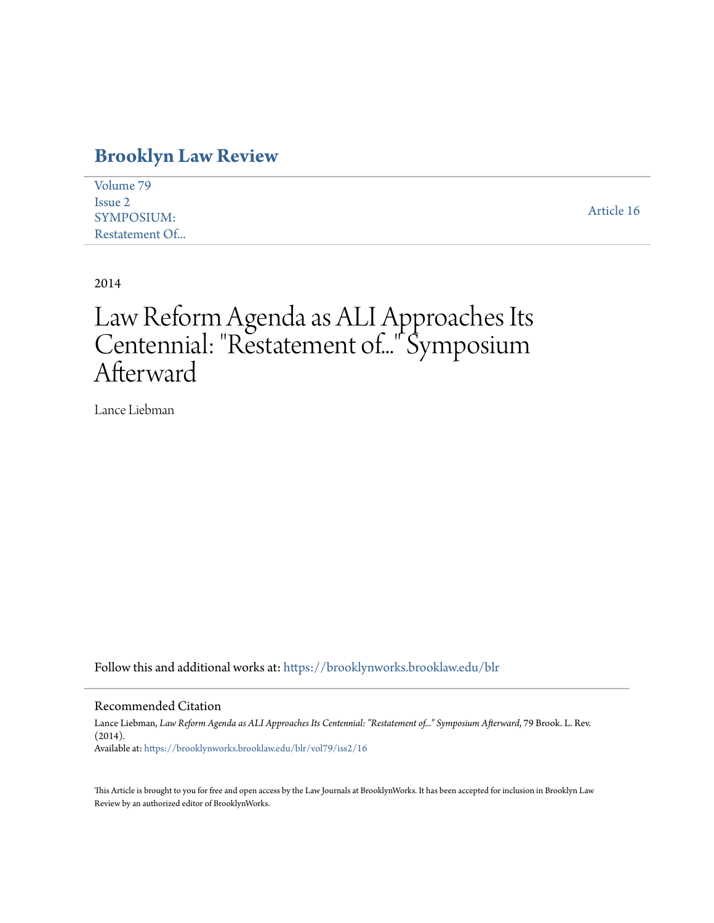# **[Brooklyn Law Review](https://brooklynworks.brooklaw.edu/blr?utm_source=brooklynworks.brooklaw.edu%2Fblr%2Fvol79%2Fiss2%2F16&utm_medium=PDF&utm_campaign=PDFCoverPages)**

| Volume 79         |            |
|-------------------|------------|
| Issue 2           |            |
| <b>SYMPOSIUM:</b> | Article 16 |
| Restatement Of    |            |

2014

# Law Reform Agenda as ALI Approaches Its Centennial: "Restatement of..." Symposium Afterward

Lance Liebman

Follow this and additional works at: [https://brooklynworks.brooklaw.edu/blr](https://brooklynworks.brooklaw.edu/blr?utm_source=brooklynworks.brooklaw.edu%2Fblr%2Fvol79%2Fiss2%2F16&utm_medium=PDF&utm_campaign=PDFCoverPages)

# Recommended Citation

Lance Liebman, *Law Reform Agenda as ALI Approaches Its Centennial: "Restatement of..." Symposium Afterward*, 79 Brook. L. Rev. (2014). Available at: [https://brooklynworks.brooklaw.edu/blr/vol79/iss2/16](https://brooklynworks.brooklaw.edu/blr/vol79/iss2/16?utm_source=brooklynworks.brooklaw.edu%2Fblr%2Fvol79%2Fiss2%2F16&utm_medium=PDF&utm_campaign=PDFCoverPages)

This Article is brought to you for free and open access by the Law Journals at BrooklynWorks. It has been accepted for inclusion in Brooklyn Law Review by an authorized editor of BrooklynWorks.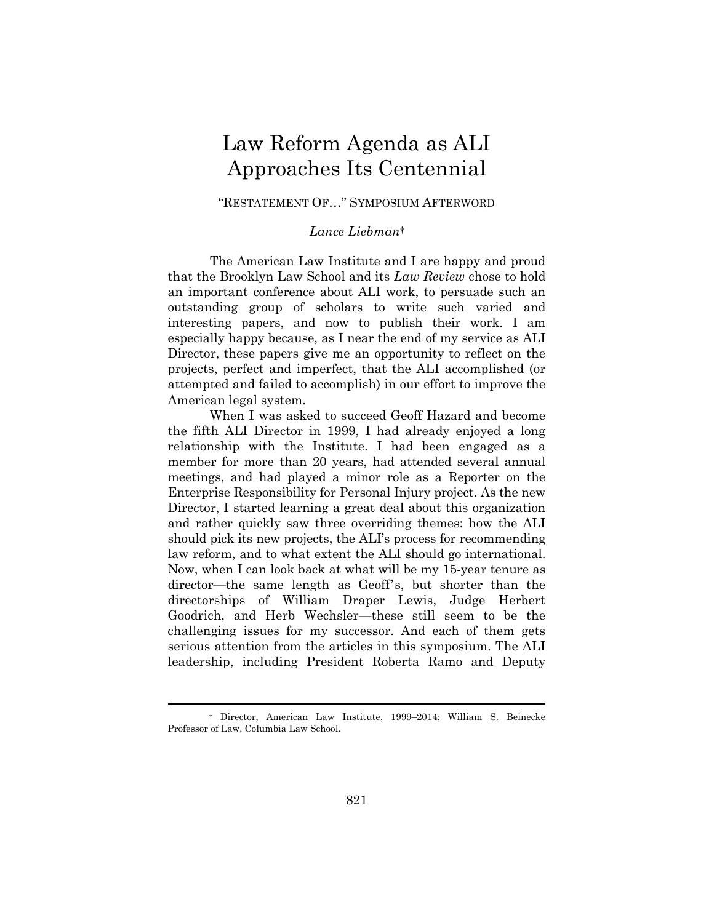# Law Reform Agenda as ALI Approaches Its Centennial

# "RESTATEMENT OF…" SYMPOSIUM AFTERWORD

# *Lance Liebman*†

The American Law Institute and I are happy and proud that the Brooklyn Law School and its *Law Review* chose to hold an important conference about ALI work, to persuade such an outstanding group of scholars to write such varied and interesting papers, and now to publish their work. I am especially happy because, as I near the end of my service as ALI Director, these papers give me an opportunity to reflect on the projects, perfect and imperfect, that the ALI accomplished (or attempted and failed to accomplish) in our effort to improve the American legal system.

When I was asked to succeed Geoff Hazard and become the fifth ALI Director in 1999, I had already enjoyed a long relationship with the Institute. I had been engaged as a member for more than 20 years, had attended several annual meetings, and had played a minor role as a Reporter on the Enterprise Responsibility for Personal Injury project. As the new Director, I started learning a great deal about this organization and rather quickly saw three overriding themes: how the ALI should pick its new projects, the ALI's process for recommending law reform, and to what extent the ALI should go international. Now, when I can look back at what will be my 15-year tenure as director—the same length as Geoff's, but shorter than the directorships of William Draper Lewis, Judge Herbert Goodrich, and Herb Wechsler—these still seem to be the challenging issues for my successor. And each of them gets serious attention from the articles in this symposium. The ALI leadership, including President Roberta Ramo and Deputy

 <sup>†</sup> Director, American Law Institute, 1999–2014; William S. Beinecke Professor of Law, Columbia Law School.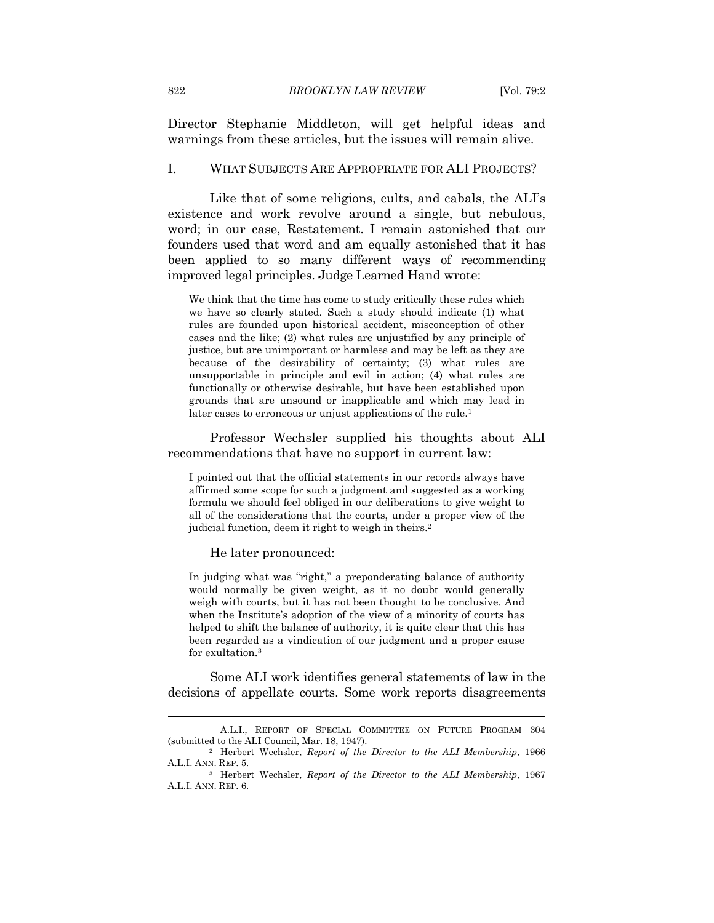Director Stephanie Middleton, will get helpful ideas and warnings from these articles, but the issues will remain alive.

## I. WHAT SUBJECTS ARE APPROPRIATE FOR ALI PROJECTS?

Like that of some religions, cults, and cabals, the ALI's existence and work revolve around a single, but nebulous, word; in our case, Restatement. I remain astonished that our founders used that word and am equally astonished that it has been applied to so many different ways of recommending improved legal principles. Judge Learned Hand wrote:

We think that the time has come to study critically these rules which we have so clearly stated. Such a study should indicate (1) what rules are founded upon historical accident, misconception of other cases and the like; (2) what rules are unjustified by any principle of justice, but are unimportant or harmless and may be left as they are because of the desirability of certainty; (3) what rules are unsupportable in principle and evil in action; (4) what rules are functionally or otherwise desirable, but have been established upon grounds that are unsound or inapplicable and which may lead in later cases to erroneous or unjust applications of the rule.<sup>1</sup>

Professor Wechsler supplied his thoughts about ALI recommendations that have no support in current law:

I pointed out that the official statements in our records always have affirmed some scope for such a judgment and suggested as a working formula we should feel obliged in our deliberations to give weight to all of the considerations that the courts, under a proper view of the judicial function, deem it right to weigh in theirs.2

He later pronounced:

In judging what was "right," a preponderating balance of authority would normally be given weight, as it no doubt would generally weigh with courts, but it has not been thought to be conclusive. And when the Institute's adoption of the view of a minority of courts has helped to shift the balance of authority, it is quite clear that this has been regarded as a vindication of our judgment and a proper cause for exultation.3

Some ALI work identifies general statements of law in the decisions of appellate courts. Some work reports disagreements

<sup>1</sup> A.L.I., REPORT OF SPECIAL COMMITTEE ON FUTURE PROGRAM 304 (submitted to the ALI Council, Mar. 18, 1947). 2 Herbert Wechsler, *Report of the Director to the ALI Membership*, 1966

A.L.I. ANN. REP. 5. 3 Herbert Wechsler, *Report of the Director to the ALI Membership*, <sup>1967</sup>

A.L.I. ANN. REP. 6.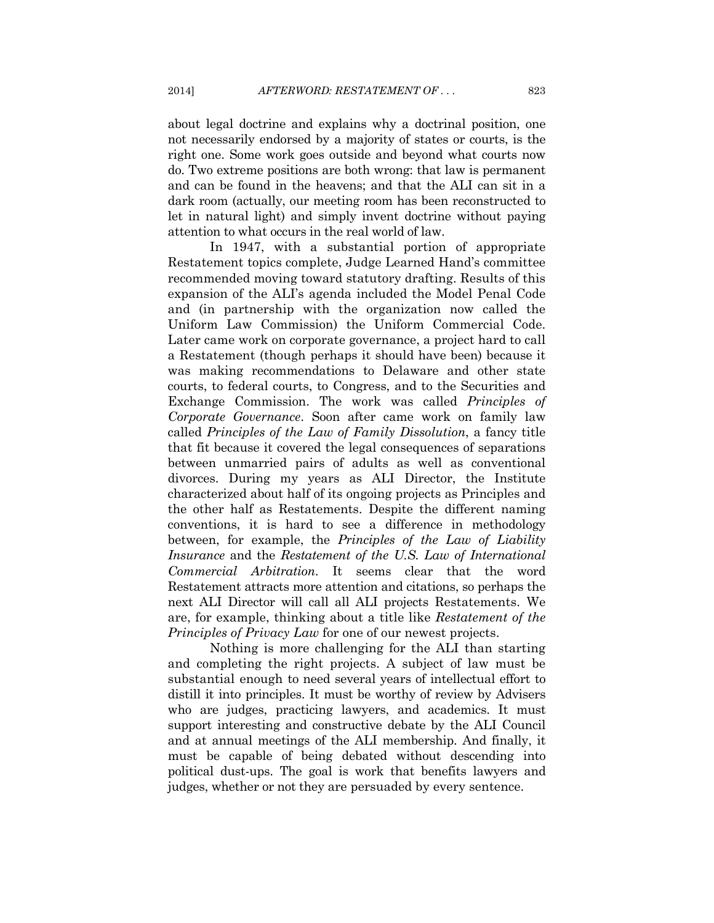about legal doctrine and explains why a doctrinal position, one not necessarily endorsed by a majority of states or courts, is the right one. Some work goes outside and beyond what courts now do. Two extreme positions are both wrong: that law is permanent and can be found in the heavens; and that the ALI can sit in a dark room (actually, our meeting room has been reconstructed to let in natural light) and simply invent doctrine without paying attention to what occurs in the real world of law.

In 1947, with a substantial portion of appropriate Restatement topics complete, Judge Learned Hand's committee recommended moving toward statutory drafting. Results of this expansion of the ALI's agenda included the Model Penal Code and (in partnership with the organization now called the Uniform Law Commission) the Uniform Commercial Code. Later came work on corporate governance, a project hard to call a Restatement (though perhaps it should have been) because it was making recommendations to Delaware and other state courts, to federal courts, to Congress, and to the Securities and Exchange Commission. The work was called *Principles of Corporate Governance*. Soon after came work on family law called *Principles of the Law of Family Dissolution*, a fancy title that fit because it covered the legal consequences of separations between unmarried pairs of adults as well as conventional divorces. During my years as ALI Director, the Institute characterized about half of its ongoing projects as Principles and the other half as Restatements. Despite the different naming conventions, it is hard to see a difference in methodology between, for example, the *Principles of the Law of Liability Insurance* and the *Restatement of the U.S. Law of International Commercial Arbitration*. It seems clear that the word Restatement attracts more attention and citations, so perhaps the next ALI Director will call all ALI projects Restatements. We are, for example, thinking about a title like *Restatement of the Principles of Privacy Law* for one of our newest projects.

Nothing is more challenging for the ALI than starting and completing the right projects. A subject of law must be substantial enough to need several years of intellectual effort to distill it into principles. It must be worthy of review by Advisers who are judges, practicing lawyers, and academics. It must support interesting and constructive debate by the ALI Council and at annual meetings of the ALI membership. And finally, it must be capable of being debated without descending into political dust-ups. The goal is work that benefits lawyers and judges, whether or not they are persuaded by every sentence.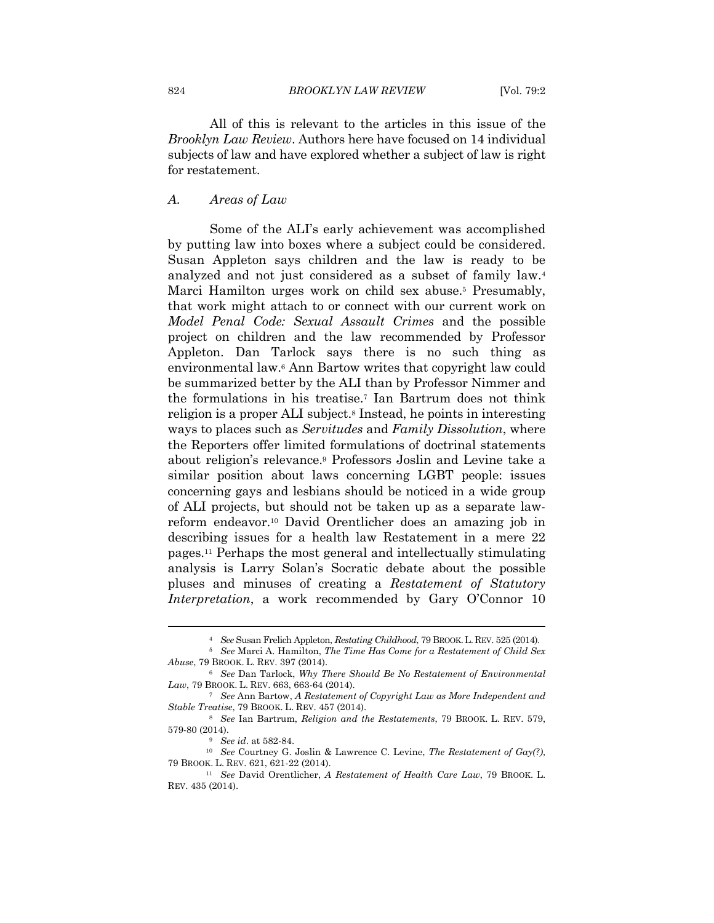All of this is relevant to the articles in this issue of the *Brooklyn Law Review*. Authors here have focused on 14 individual subjects of law and have explored whether a subject of law is right for restatement.

#### *A. Areas of Law*

Some of the ALI's early achievement was accomplished by putting law into boxes where a subject could be considered. Susan Appleton says children and the law is ready to be analyzed and not just considered as a subset of family law.4 Marci Hamilton urges work on child sex abuse.<sup>5</sup> Presumably, that work might attach to or connect with our current work on *Model Penal Code: Sexual Assault Crimes* and the possible project on children and the law recommended by Professor Appleton. Dan Tarlock says there is no such thing as environmental law.6 Ann Bartow writes that copyright law could be summarized better by the ALI than by Professor Nimmer and the formulations in his treatise.7 Ian Bartrum does not think religion is a proper ALI subject.8 Instead, he points in interesting ways to places such as *Servitudes* and *Family Dissolution*, where the Reporters offer limited formulations of doctrinal statements about religion's relevance.9 Professors Joslin and Levine take a similar position about laws concerning LGBT people: issues concerning gays and lesbians should be noticed in a wide group of ALI projects, but should not be taken up as a separate lawreform endeavor.10 David Orentlicher does an amazing job in describing issues for a health law Restatement in a mere 22 pages.11 Perhaps the most general and intellectually stimulating analysis is Larry Solan's Socratic debate about the possible pluses and minuses of creating a *Restatement of Statutory Interpretation*, a work recommended by Gary O'Connor 10

<sup>4</sup> *See* Susan Frelich Appleton, *Restating Childhood*, 79 BROOK.L. REV. 525 (2014).

<sup>5</sup> *See* Marci A. Hamilton, *The Time Has Come for a Restatement of Child Sex Abuse*, 79 BROOK. L. REV. 397 (2014). 6 *See* Dan Tarlock, *Why There Should Be No Restatement of Environmental* 

*Law*, 79 BROOK. L. REV. 663, 663-64 (2014). 7 *See* Ann Bartow, *A Restatement of Copyright Law as More Independent and* 

*Stable Treatise*, 79 BROOK. L. REV. 457 (2014). 8 *See* Ian Bartrum, *Religion and the Restatements*, 79 BROOK. L. REV. 579,

<sup>579-80 (2014). 9</sup> *See id*. at 582-84. 10 *See* Courtney G. Joslin & Lawrence C. Levine, *The Restatement of Gay(?)*,

<sup>79</sup> BROOK. L. REV. 621, 621-22 (2014). 11 *See* David Orentlicher, *A Restatement of Health Care Law*, 79 BROOK. L.

REV. 435 (2014).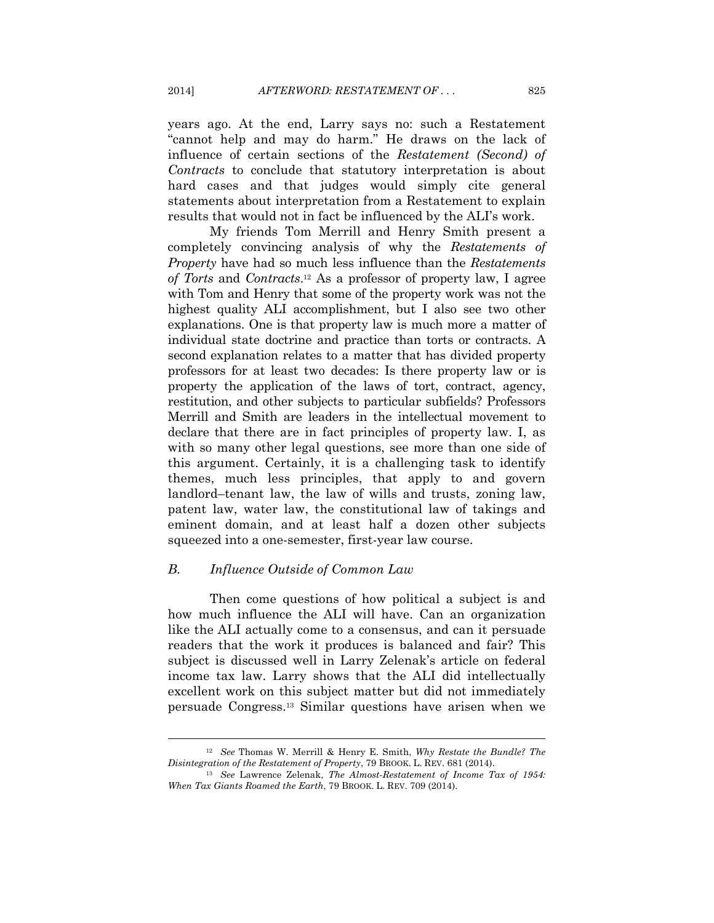years ago. At the end, Larry says no: such a Restatement "cannot help and may do harm." He draws on the lack of influence of certain sections of the *Restatement (Second) of Contracts* to conclude that statutory interpretation is about hard cases and that judges would simply cite general statements about interpretation from a Restatement to explain results that would not in fact be influenced by the ALI's work.

My friends Tom Merrill and Henry Smith present a completely convincing analysis of why the *Restatements of Property* have had so much less influence than the *Restatements of Torts* and *Contracts*.12 As a professor of property law, I agree with Tom and Henry that some of the property work was not the highest quality ALI accomplishment, but I also see two other explanations. One is that property law is much more a matter of individual state doctrine and practice than torts or contracts. A second explanation relates to a matter that has divided property professors for at least two decades: Is there property law or is property the application of the laws of tort, contract, agency, restitution, and other subjects to particular subfields? Professors Merrill and Smith are leaders in the intellectual movement to declare that there are in fact principles of property law. I, as with so many other legal questions, see more than one side of this argument. Certainly, it is a challenging task to identify themes, much less principles, that apply to and govern landlord–tenant law, the law of wills and trusts, zoning law, patent law, water law, the constitutional law of takings and eminent domain, and at least half a dozen other subjects squeezed into a one-semester, first-year law course.

## *B. Influence Outside of Common Law*

Then come questions of how political a subject is and how much influence the ALI will have. Can an organization like the ALI actually come to a consensus, and can it persuade readers that the work it produces is balanced and fair? This subject is discussed well in Larry Zelenak's article on federal income tax law. Larry shows that the ALI did intellectually excellent work on this subject matter but did not immediately persuade Congress.13 Similar questions have arisen when we

<sup>&</sup>lt;sup>12</sup> See Thomas W. Merrill & Henry E. Smith, *Why Restate the Bundle? The Disintegration of the Restatement of Property, 79 BROOK. L. REV. 681 (2014).* 

<sup>&</sup>lt;sup>13</sup> See Lawrence Zelenak, *The Almost-Restatement of Income Tax of 1954: When Tax Giants Roamed the Earth*, 79 BROOK. L. REV. 709 (2014).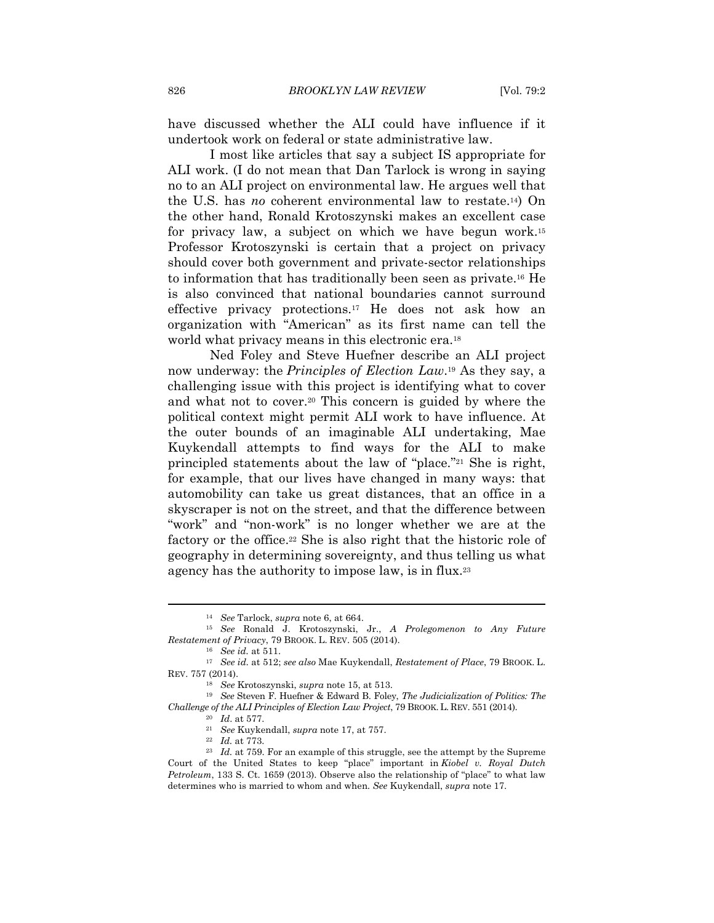have discussed whether the ALI could have influence if it undertook work on federal or state administrative law.

I most like articles that say a subject IS appropriate for ALI work. (I do not mean that Dan Tarlock is wrong in saying no to an ALI project on environmental law. He argues well that the U.S. has *no* coherent environmental law to restate.14) On the other hand, Ronald Krotoszynski makes an excellent case for privacy law, a subject on which we have begun work.15 Professor Krotoszynski is certain that a project on privacy should cover both government and private-sector relationships to information that has traditionally been seen as private.16 He is also convinced that national boundaries cannot surround effective privacy protections.17 He does not ask how an organization with "American" as its first name can tell the world what privacy means in this electronic era.18

Ned Foley and Steve Huefner describe an ALI project now underway: the *Principles of Election Law*.19 As they say, a challenging issue with this project is identifying what to cover and what not to cover.20 This concern is guided by where the political context might permit ALI work to have influence. At the outer bounds of an imaginable ALI undertaking, Mae Kuykendall attempts to find ways for the ALI to make principled statements about the law of "place."21 She is right, for example, that our lives have changed in many ways: that automobility can take us great distances, that an office in a skyscraper is not on the street, and that the difference between "work" and "non-work" is no longer whether we are at the factory or the office.22 She is also right that the historic role of geography in determining sovereignty, and thus telling us what agency has the authority to impose law, is in flux.23

<sup>14</sup> *See* Tarlock, *supra* note 6, at 664. 15 *See* Ronald J. Krotoszynski, Jr., *A Prolegomenon to Any Future Restatement of Privacy*, 79 BROOK. L. REV. 505 (2014). 16 *See id.* at 511. 17 *See id.* at 512; *see also* Mae Kuykendall, *Restatement of Place*, 79 BROOK. L.

REV. 757 (2014).<br><sup>18</sup> See Krotoszynski, *supra* note 15, at 513.<br><sup>19</sup> See Steven F. Huefner & Edward B. Foley, *The Judicialization of Politics: The* 

Challenge of the ALI Principles of Election Law Project, 79 BROOK. L. REV. 551 (2014).<br><sup>20</sup> Id. at 577.<br><sup>21</sup> See Kuykendall, *supra* note 17, at 757.<br><sup>22</sup> Id. at 773.<br><sup>23</sup> Id. at 759. For an example of this struggle, see

Court of the United States to keep "place" important in *Kiobel v. Royal Dutch Petroleum*, 133 S. Ct. 1659 (2013). Observe also the relationship of "place" to what law determines who is married to whom and when*. See* Kuykendall, *supra* note 17.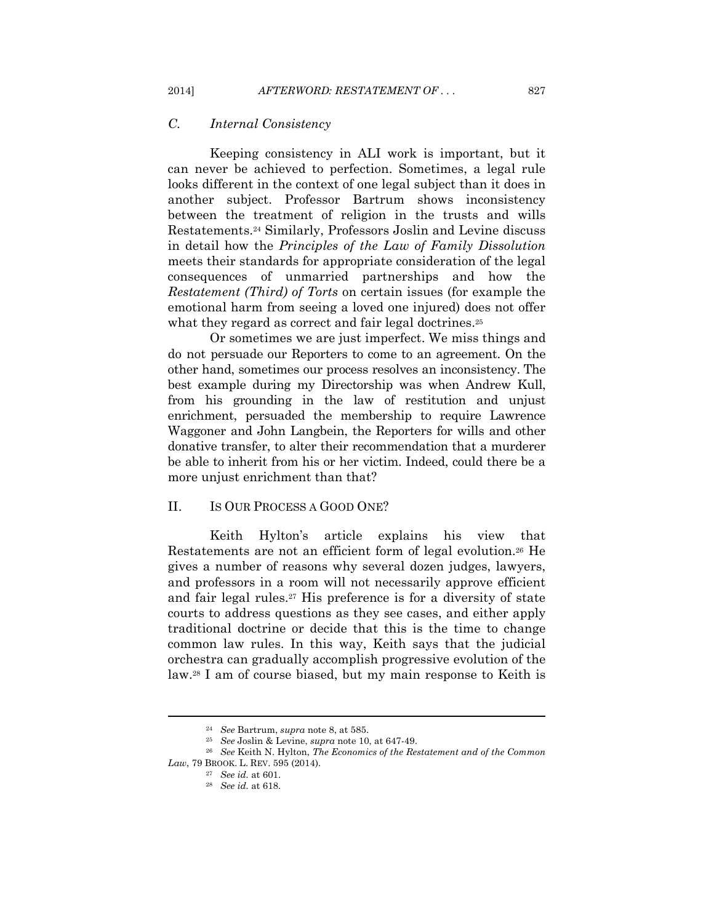# *C. Internal Consistency*

Keeping consistency in ALI work is important, but it can never be achieved to perfection. Sometimes, a legal rule looks different in the context of one legal subject than it does in another subject. Professor Bartrum shows inconsistency between the treatment of religion in the trusts and wills Restatements.24 Similarly, Professors Joslin and Levine discuss in detail how the *Principles of the Law of Family Dissolution* meets their standards for appropriate consideration of the legal consequences of unmarried partnerships and how the *Restatement (Third) of Torts* on certain issues (for example the emotional harm from seeing a loved one injured) does not offer what they regard as correct and fair legal doctrines.<sup>25</sup>

Or sometimes we are just imperfect. We miss things and do not persuade our Reporters to come to an agreement. On the other hand, sometimes our process resolves an inconsistency. The best example during my Directorship was when Andrew Kull, from his grounding in the law of restitution and unjust enrichment, persuaded the membership to require Lawrence Waggoner and John Langbein, the Reporters for wills and other donative transfer, to alter their recommendation that a murderer be able to inherit from his or her victim. Indeed, could there be a more uniust enrichment than that?

# II. IS OUR PROCESS A GOOD ONE?

Keith Hylton's article explains his view that Restatements are not an efficient form of legal evolution.26 He gives a number of reasons why several dozen judges, lawyers, and professors in a room will not necessarily approve efficient and fair legal rules.27 His preference is for a diversity of state courts to address questions as they see cases, and either apply traditional doctrine or decide that this is the time to change common law rules. In this way, Keith says that the judicial orchestra can gradually accomplish progressive evolution of the law.28 I am of course biased, but my main response to Keith is

<sup>24</sup> *See* Bartrum, *supra* note 8, at 585. 25 *See* Joslin & Levine, *supra* note 10, at 647-49. 26 *See* Keith N. Hylton, *The Economics of the Restatement and of the Common Law*, 79 BROOK. L. REV. 595 (2014). 27 *See id.* at 601. 28 *See id.* at 618.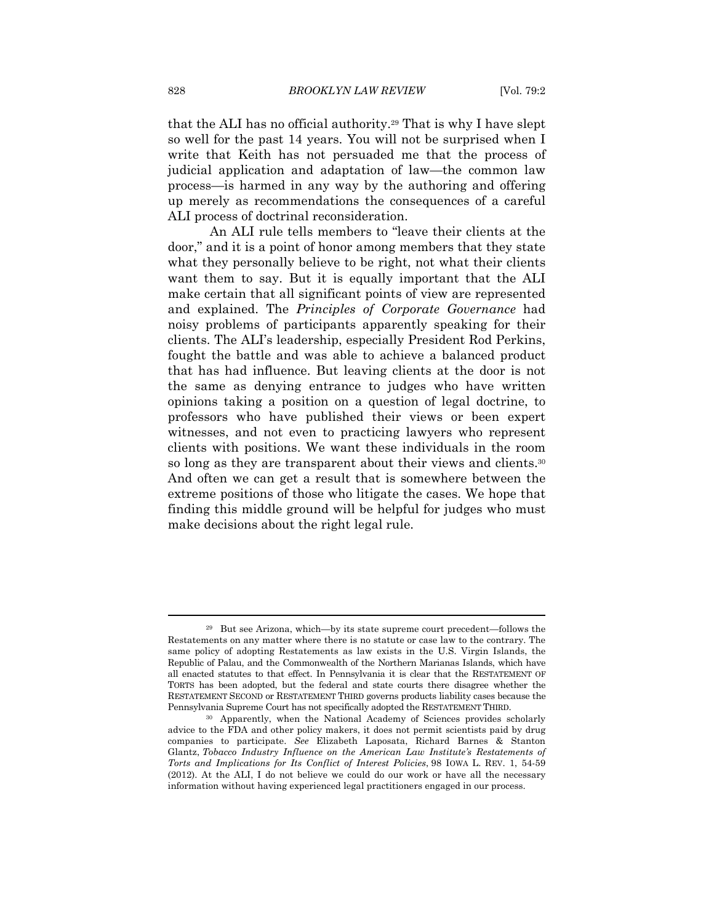that the ALI has no official authority.29 That is why I have slept so well for the past 14 years. You will not be surprised when I write that Keith has not persuaded me that the process of judicial application and adaptation of law—the common law process—is harmed in any way by the authoring and offering up merely as recommendations the consequences of a careful ALI process of doctrinal reconsideration.

An ALI rule tells members to "leave their clients at the door," and it is a point of honor among members that they state what they personally believe to be right, not what their clients want them to say. But it is equally important that the ALI make certain that all significant points of view are represented and explained. The *Principles of Corporate Governance* had noisy problems of participants apparently speaking for their clients. The ALI's leadership, especially President Rod Perkins, fought the battle and was able to achieve a balanced product that has had influence. But leaving clients at the door is not the same as denying entrance to judges who have written opinions taking a position on a question of legal doctrine, to professors who have published their views or been expert witnesses, and not even to practicing lawyers who represent clients with positions. We want these individuals in the room so long as they are transparent about their views and clients.<sup>30</sup> And often we can get a result that is somewhere between the extreme positions of those who litigate the cases. We hope that finding this middle ground will be helpful for judges who must make decisions about the right legal rule.

<sup>29</sup> But see Arizona, which—by its state supreme court precedent—follows the Restatements on any matter where there is no statute or case law to the contrary. The same policy of adopting Restatements as law exists in the U.S. Virgin Islands, the Republic of Palau, and the Commonwealth of the Northern Marianas Islands, which have all enacted statutes to that effect. In Pennsylvania it is clear that the RESTATEMENT OF TORTS has been adopted, but the federal and state courts there disagree whether the RESTATEMENT SECOND or RESTATEMENT THIRD governs products liability cases because the Pennsylvania Supreme Court has not specifically adopted the RESTATEMENT THIRD. 30 Apparently, when the National Academy of Sciences provides scholarly

advice to the FDA and other policy makers, it does not permit scientists paid by drug companies to participate. *See* Elizabeth Laposata, Richard Barnes & Stanton Glantz, *Tobacco Industry Influence on the American Law Institute's Restatements of Torts and Implications for Its Conflict of Interest Policies*, 98 IOWA L. REV. 1, 54-59 (2012). At the ALI, I do not believe we could do our work or have all the necessary information without having experienced legal practitioners engaged in our process.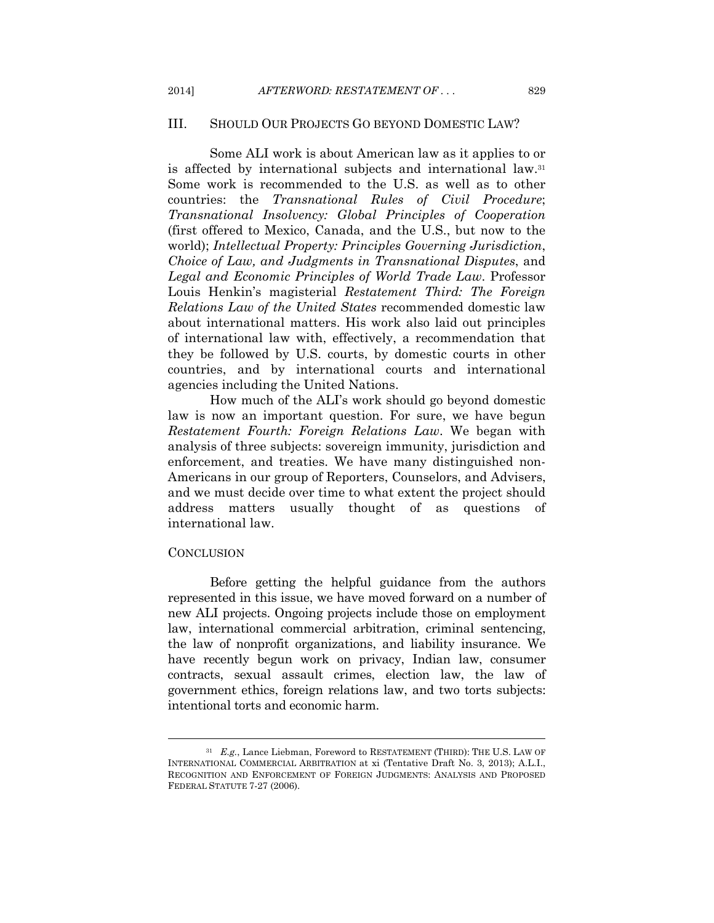# III. SHOULD OUR PROJECTS GO BEYOND DOMESTIC LAW?

Some ALI work is about American law as it applies to or is affected by international subjects and international law.31 Some work is recommended to the U.S. as well as to other countries: the *Transnational Rules of Civil Procedure*; *Transnational Insolvency: Global Principles of Cooperation* (first offered to Mexico, Canada, and the U.S., but now to the world); *Intellectual Property: Principles Governing Jurisdiction*, *Choice of Law, and Judgments in Transnational Disputes*, and *Legal and Economic Principles of World Trade Law*. Professor Louis Henkin's magisterial *Restatement Third: The Foreign Relations Law of the United States* recommended domestic law about international matters. His work also laid out principles of international law with, effectively, a recommendation that they be followed by U.S. courts, by domestic courts in other countries, and by international courts and international agencies including the United Nations.

How much of the ALI's work should go beyond domestic law is now an important question. For sure, we have begun *Restatement Fourth: Foreign Relations Law*. We began with analysis of three subjects: sovereign immunity, jurisdiction and enforcement, and treaties. We have many distinguished non-Americans in our group of Reporters, Counselors, and Advisers, and we must decide over time to what extent the project should address matters usually thought of as questions of international law.

#### **CONCLUSION**

Before getting the helpful guidance from the authors represented in this issue, we have moved forward on a number of new ALI projects. Ongoing projects include those on employment law, international commercial arbitration, criminal sentencing, the law of nonprofit organizations, and liability insurance. We have recently begun work on privacy, Indian law, consumer contracts, sexual assault crimes, election law, the law of government ethics, foreign relations law, and two torts subjects: intentional torts and economic harm.

<sup>&</sup>lt;sup>31</sup> E.g., Lance Liebman, Foreword to RESTATEMENT (THIRD): THE U.S. LAW OF INTERNATIONAL COMMERCIAL ARBITRATION at xi (Tentative Draft No. 3, 2013); A.L.I., RECOGNITION AND ENFORCEMENT OF FOREIGN JUDGMENTS: ANALYSIS AND PROPOSED FEDERAL STATUTE 7-27 (2006).